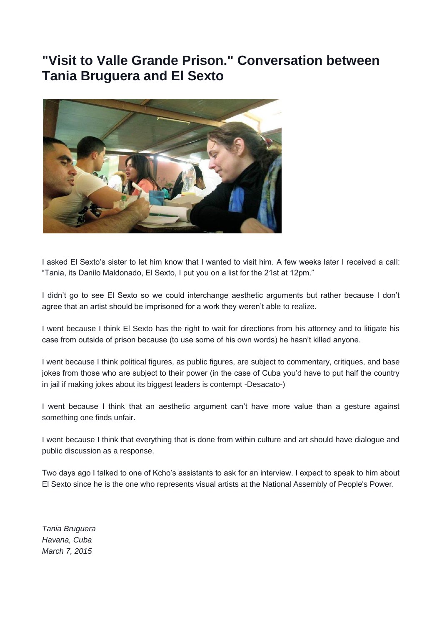## **"Visit to Valle Grande Prison." Conversation between Tania Bruguera and El Sexto**



I asked El Sexto's sister to let him know that I wanted to visit him. A few weeks later I received a call: "Tania, its Danilo Maldonado, El Sexto, I put you on a list for the 21st at 12pm."

I didn't go to see El Sexto so we could interchange aesthetic arguments but rather because I don't agree that an artist should be imprisoned for a work they weren't able to realize.

I went because I think El Sexto has the right to wait for directions from his attorney and to litigate his case from outside of prison because (to use some of his own words) he hasn't killed anyone.

I went because I think political figures, as public figures, are subject to commentary, critiques, and base jokes from those who are subject to their power (in the case of Cuba you'd have to put half the country in jail if making jokes about its biggest leaders is contempt -Desacato-)

I went because I think that an aesthetic argument can't have more value than a gesture against something one finds unfair.

I went because I think that everything that is done from within culture and art should have dialogue and public discussion as a response.

Two days ago I talked to one of Kcho's assistants to ask for an interview. I expect to speak to him about El Sexto since he is the one who represents visual artists at the National Assembly of People's Power.

*Tania Bruguera Havana, Cuba March 7, 2015*